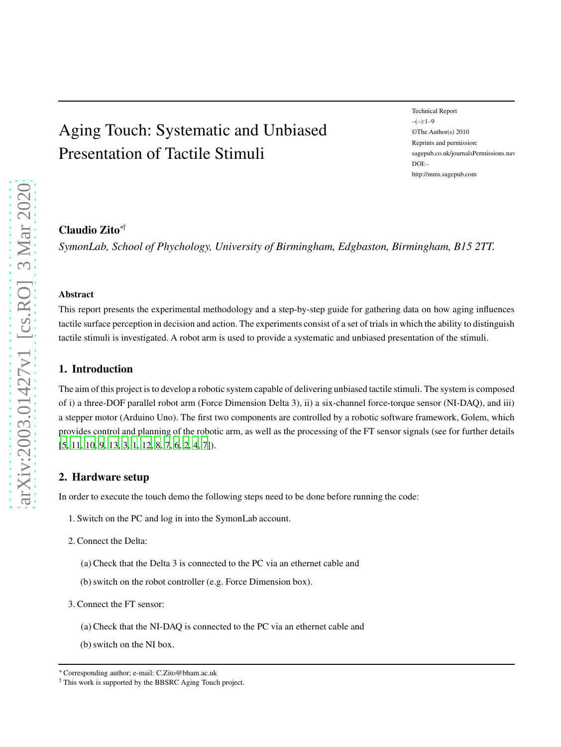# Aging Touch: Systematic and Unbiased Presentation of Tactile Stimuli

Technical Report  $-(-)$ :1-9 ©The Author(s) 2010 Reprints and permission: sagepub.co.uk/journalsPermissions.nav DOI:– http://mms.sagepub.com

# Claudio Zito∗†

*SymonLab, School of Phychology, University of Birmingham, Edgbaston, Birmingham, B15 2TT.*

## Abstract

This report presents the experimental methodology and a step-by-step guide for gathering data on how aging influences tactile surface perception in decision and action. The experiments consist of a set of trials in which the ability to distinguish tactile stimuli is investigated. A robot arm is used to provide a systematic and unbiased presentation of the stimuli.

# 1. Introduction

The aim of this project is to develop a robotic system capable of delivering unbiased tactile stimuli. The system is composed of i) a three-DOF parallel robot arm (Force Dimension Delta 3), ii) a six-channel force-torque sensor (NI-DAQ), and iii) a stepper motor (Arduino Uno). The first two components are controlled by a robotic software framework, Golem, which provides control and planning of the robotic arm, as well as the processing of the FT sensor signals (see for further details [\[5,](#page-7-0) [11,](#page-7-1) [10,](#page-7-2) [9,](#page-7-3) [13,](#page-8-0) [3](#page-7-4), [1](#page-7-5), [12](#page-7-6), [8](#page-7-7), [7](#page-7-8), [6](#page-7-9), [2](#page-7-10), [4](#page-7-11), [7](#page-7-8)]).

## 2. Hardware setup

In order to execute the touch demo the following steps need to be done before running the code:

- 1. Switch on the PC and log in into the SymonLab account.
- 2. Connect the Delta:
	- (a) Check that the Delta 3 is connected to the PC via an ethernet cable and
	- (b) switch on the robot controller (e.g. Force Dimension box).
- 3. Connect the FT sensor:
	- (a) Check that the NI-DAQ is connected to the PC via an ethernet cable and
	- (b) switch on the NI box.

<sup>∗</sup>Corresponding author; e-mail: C.Zito@bham.ac.uk

<sup>†</sup> This work is supported by the BBSRC Aging Touch project.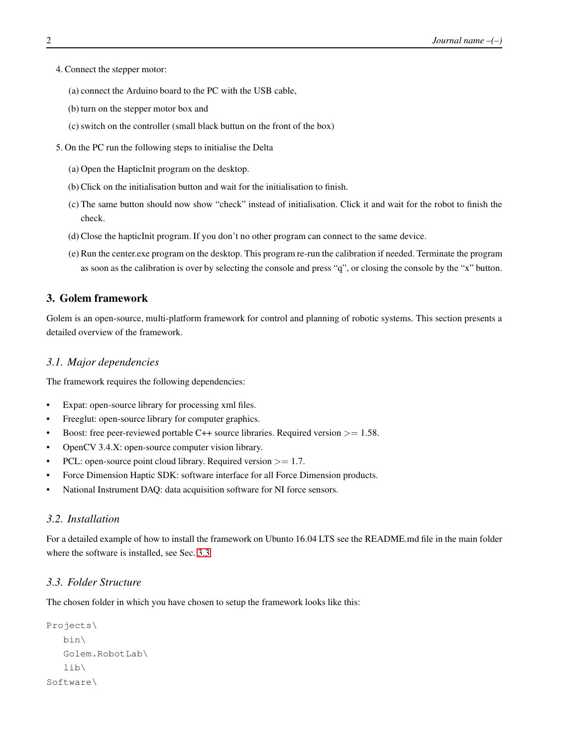- 4. Connect the stepper motor:
	- (a) connect the Arduino board to the PC with the USB cable,
	- (b) turn on the stepper motor box and
	- (c) switch on the controller (small black buttun on the front of the box)
- 5. On the PC run the following steps to initialise the Delta
	- (a) Open the HapticInit program on the desktop.
	- (b) Click on the initialisation button and wait for the initialisation to finish.
	- (c) The same button should now show "check" instead of initialisation. Click it and wait for the robot to finish the check.
	- (d) Close the hapticInit program. If you don't no other program can connect to the same device.
	- (e) Run the center.exe program on the desktop. This program re-run the calibration if needed. Terminate the program as soon as the calibration is over by selecting the console and press "q", or closing the console by the "x" button.

## 3. Golem framework

Golem is an open-source, multi-platform framework for control and planning of robotic systems. This section presents a detailed overview of the framework.

## <span id="page-1-1"></span>*3.1. Major dependencies*

The framework requires the following dependencies:

- Expat: open-source library for processing xml files.
- Freeglut: open-source library for computer graphics.
- Boost: free peer-reviewed portable C++ source libraries. Required version  $> = 1.58$ .
- OpenCV 3.4.X: open-source computer vision library.
- PCL: open-source point cloud library. Required version  $\geq$  = 1.7.
- Force Dimension Haptic SDK: software interface for all Force Dimension products.
- National Instrument DAQ: data acquisition software for NI force sensors.

# *3.2. Installation*

For a detailed example of how to install the framework on Ubunto 16.04 LTS see the README.md file in the main folder where the software is installed, see Sec. [3.3.](#page-1-0)

# <span id="page-1-0"></span>*3.3. Folder Structure*

The chosen folder in which you have chosen to setup the framework looks like this:

```
Projects\
   bin\
   Golem.RobotLab\
   lib\
Software\
```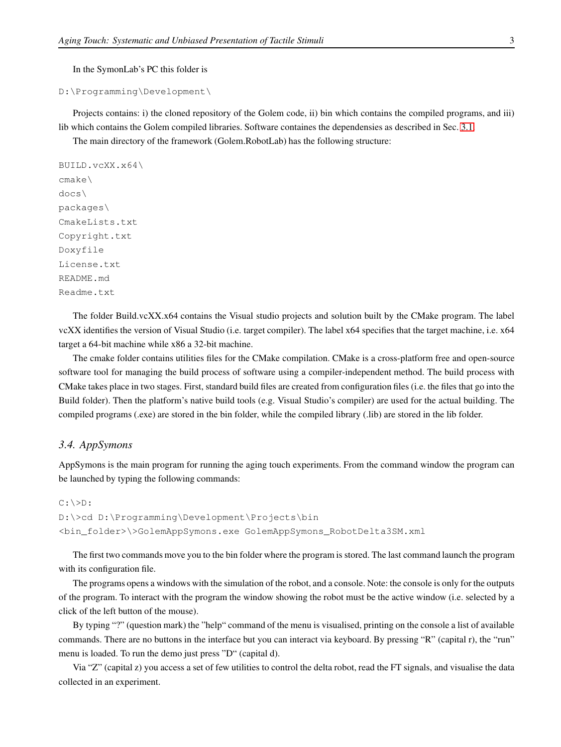In the SymonLab's PC this folder is

```
D:\Programming\Development\
```
Projects contains: i) the cloned repository of the Golem code, ii) bin which contains the compiled programs, and iii) lib which contains the Golem compiled libraries. Software containes the dependensies as described in Sec. [3.1.](#page-1-1)

The main directory of the framework (Golem.RobotLab) has the following structure:

```
BUILD.vcXX.x64\
cmake\
docs\
packages\
CmakeLists.txt
Copyright.txt
Doxyfile
License.txt
README.md
Readme.txt
```
The folder Build.vcXX.x64 contains the Visual studio projects and solution built by the CMake program. The label vcXX identifies the version of Visual Studio (i.e. target compiler). The label x64 specifies that the target machine, i.e. x64 target a 64-bit machine while x86 a 32-bit machine.

The cmake folder contains utilities files for the CMake compilation. CMake is a cross-platform free and open-source software tool for managing the build process of software using a compiler-independent method. The build process with CMake takes place in two stages. First, standard build files are created from configuration files (i.e. the files that go into the Build folder). Then the platform's native build tools (e.g. Visual Studio's compiler) are used for the actual building. The compiled programs (.exe) are stored in the bin folder, while the compiled library (.lib) are stored in the lib folder.

## <span id="page-2-0"></span>*3.4. AppSymons*

AppSymons is the main program for running the aging touch experiments. From the command window the program can be launched by typing the following commands:

```
C: \>D:
```
D:\>cd D:\Programming\Development\Projects\bin <bin\_folder>\>GolemAppSymons.exe GolemAppSymons\_RobotDelta3SM.xml

The first two commands move you to the bin folder where the program is stored. The last command launch the program with its configuration file.

The programs opens a windows with the simulation of the robot, and a console. Note: the console is only for the outputs of the program. To interact with the program the window showing the robot must be the active window (i.e. selected by a click of the left button of the mouse).

By typing "?" (question mark) the "help" command of the menu is visualised, printing on the console a list of available commands. There are no buttons in the interface but you can interact via keyboard. By pressing "R" (capital r), the "run" menu is loaded. To run the demo just press "D" (capital d).

Via "Z" (capital z) you access a set of few utilities to control the delta robot, read the FT signals, and visualise the data collected in an experiment.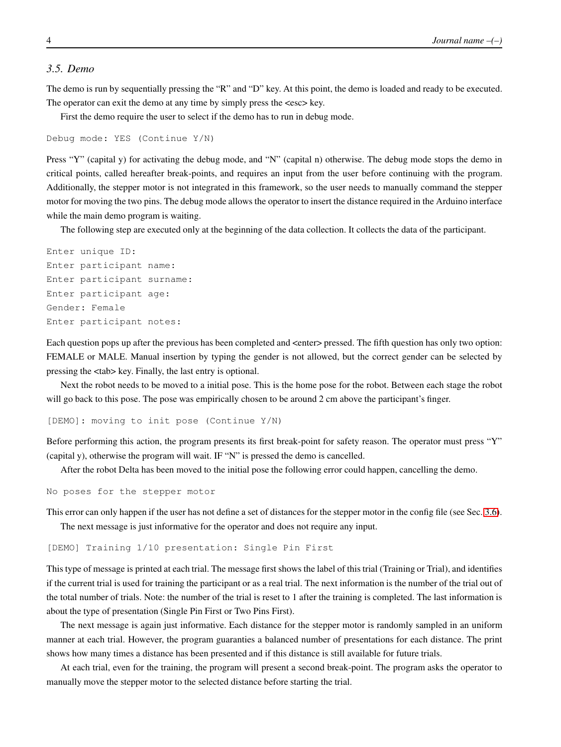# *3.5. Demo*

The demo is run by sequentially pressing the "R" and "D" key. At this point, the demo is loaded and ready to be executed. The operator can exit the demo at any time by simply press the <esc> key.

First the demo require the user to select if the demo has to run in debug mode.

```
Debug mode: YES (Continue Y/N)
```
Press "Y" (capital y) for activating the debug mode, and "N" (capital n) otherwise. The debug mode stops the demo in critical points, called hereafter break-points, and requires an input from the user before continuing with the program. Additionally, the stepper motor is not integrated in this framework, so the user needs to manually command the stepper motor for moving the two pins. The debug mode allows the operator to insert the distance required in the Arduino interface while the main demo program is waiting.

The following step are executed only at the beginning of the data collection. It collects the data of the participant.

```
Enter unique ID:
Enter participant name:
Enter participant surname:
Enter participant age:
Gender: Female
Enter participant notes:
```
Each question pops up after the previous has been completed and <enter> pressed. The fifth question has only two option: FEMALE or MALE. Manual insertion by typing the gender is not allowed, but the correct gender can be selected by pressing the <tab> key. Finally, the last entry is optional.

Next the robot needs to be moved to a initial pose. This is the home pose for the robot. Between each stage the robot will go back to this pose. The pose was empirically chosen to be around 2 cm above the participant's finger.

[DEMO]: moving to init pose (Continue Y/N)

Before performing this action, the program presents its first break-point for safety reason. The operator must press "Y" (capital y), otherwise the program will wait. IF "N" is pressed the demo is cancelled.

After the robot Delta has been moved to the initial pose the following error could happen, cancelling the demo.

No poses for the stepper motor

This error can only happen if the user has not define a set of distances for the stepper motor in the config file (see Sec. [3.6\)](#page-4-0). The next message is just informative for the operator and does not require any input.

[DEMO] Training 1/10 presentation: Single Pin First

This type of message is printed at each trial. The message first shows the label of this trial (Training or Trial), and identifies if the current trial is used for training the participant or as a real trial. The next information is the number of the trial out of the total number of trials. Note: the number of the trial is reset to 1 after the training is completed. The last information is about the type of presentation (Single Pin First or Two Pins First).

The next message is again just informative. Each distance for the stepper motor is randomly sampled in an uniform manner at each trial. However, the program guaranties a balanced number of presentations for each distance. The print shows how many times a distance has been presented and if this distance is still available for future trials.

At each trial, even for the training, the program will present a second break-point. The program asks the operator to manually move the stepper motor to the selected distance before starting the trial.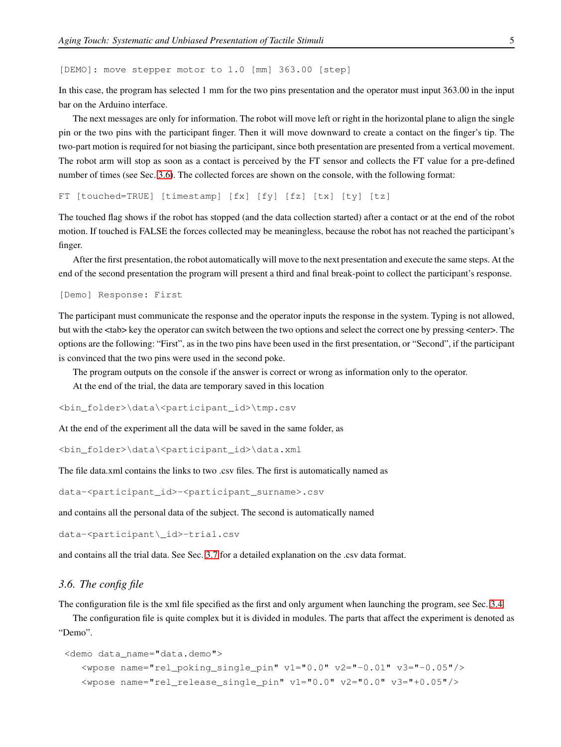[DEMO]: move stepper motor to 1.0 [mm] 363.00 [step]

In this case, the program has selected 1 mm for the two pins presentation and the operator must input 363.00 in the input bar on the Arduino interface.

The next messages are only for information. The robot will move left or right in the horizontal plane to align the single pin or the two pins with the participant finger. Then it will move downward to create a contact on the finger's tip. The two-part motion is required for not biasing the participant, since both presentation are presented from a vertical movement. The robot arm will stop as soon as a contact is perceived by the FT sensor and collects the FT value for a pre-defined number of times (see Sec. [3.6\)](#page-4-0). The collected forces are shown on the console, with the following format:

```
FT [touched=TRUE] [timestamp] [fx] [fy] [fz] [tx] [ty] [tz]
```
The touched flag shows if the robot has stopped (and the data collection started) after a contact or at the end of the robot motion. If touched is FALSE the forces collected may be meaningless, because the robot has not reached the participant's finger.

After the first presentation, the robot automatically will move to the next presentation and execute the same steps. At the end of the second presentation the program will present a third and final break-point to collect the participant's response.

[Demo] Response: First

The participant must communicate the response and the operator inputs the response in the system. Typing is not allowed, but with the <tab> key the operator can switch between the two options and select the correct one by pressing <enter>. The options are the following: "First", as in the two pins have been used in the first presentation, or "Second", if the participant is convinced that the two pins were used in the second poke.

The program outputs on the console if the answer is correct or wrong as information only to the operator.

At the end of the trial, the data are temporary saved in this location

<bin\_folder>\data\<participant\_id>\tmp.csv

At the end of the experiment all the data will be saved in the same folder, as

<bin\_folder>\data\<participant\_id>\data.xml

The file data.xml contains the links to two .csv files. The first is automatically named as

```
data-<participant_id>-<participant_surname>.csv
```
and contains all the personal data of the subject. The second is automatically named

data-<participant\\_id>-trial.csv

<span id="page-4-0"></span>and contains all the trial data. See Sec. [3.7](#page-6-0) for a detailed explanation on the .csv data format.

# *3.6. The config file*

The configuration file is the xml file specified as the first and only argument when launching the program, see Sec. [3.4.](#page-2-0)

The configuration file is quite complex but it is divided in modules. The parts that affect the experiment is denoted as "Demo".

```
<demo data_name="data.demo">
   <wpose name="rel_poking_single_pin" v1="0.0" v2="-0.01" v3="-0.05"/>
   \langle wpose name="relrelrelrelcaling sign! = "v1" v1=" "v2="0.0" v2="0.0" v3="0.0" v3="0.05" /
```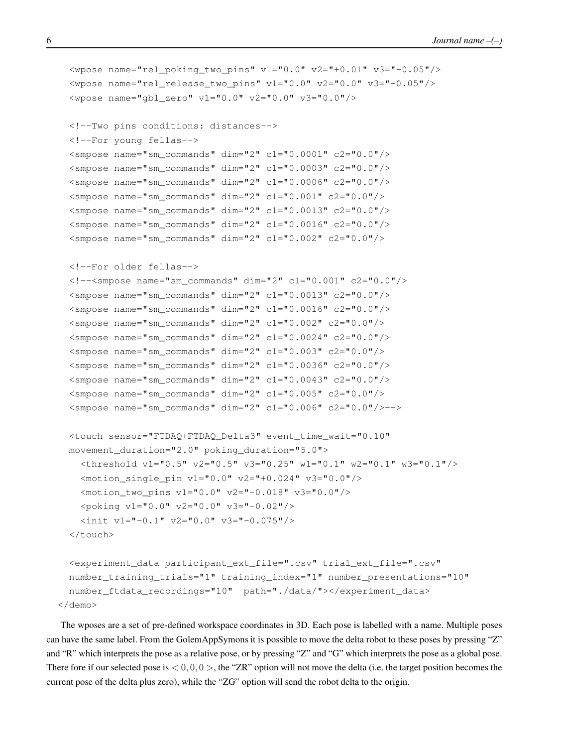```
\langle wpose name="rel poking two pins" v1="0.0" v2="+0.01" v3="-0.05"/>
  <wpose name="rel_release_two_pins" v1="0.0" v2="0.0" v3="+0.05"/>
  <wpose name="gbl_zero" v1="0.0" v2="0.0" v3="0.0"/>
  <!--Two pins conditions: distances-->
  <!--For young fellas-->
  <smpose name="sm_commands" dim="2" c1="0.0001" c2="0.0"/>
  <smpose name="sm_commands" dim="2" c1="0.0003" c2="0.0"/>
  \langlesmpose name="sm_commands" dim="2" c1="0.0006" c2="0.0"/>
  <smpose name="sm_commands" dim="2" c1="0.001" c2="0.0"/>
  \langlesmpose name="sm_commands" dim="2" c1="0.0013" c2="0.0"/>
  <smpose name="sm_commands" dim="2" c1="0.0016" c2="0.0"/>
  <smpose name="sm_commands" dim="2" c1="0.002" c2="0.0"/>
  <!--For older fellas-->
  \langle--\langlesmpose name="sm_commands" dim="2" c1="0.001" c2="0.0"/>
  <smpose name="sm_commands" dim="2" c1="0.0013" c2="0.0"/>
  <smpose name="sm_commands" dim="2" c1="0.0016" c2="0.0"/>
  \langlesmpose name="sm_commands" dim="2" c1="0.002" c2="0.0"/>
  <smpose name="sm_commands" dim="2" c1="0.0024" c2="0.0"/>
  <smpose name="sm_commands" dim="2" c1="0.003" c2="0.0"/>
  \langlesmpose name="sm_commands" dim="2" c1="0.0036" c2="0.0"/>
  \langlesmpose name="sm_commands" dim="2" c1="0.0043" c2="0.0"/>
  <smpose name="sm_commands" dim="2" c1="0.005" c2="0.0"/>
  <smpose name="sm_commands" dim="2" c1="0.006" c2="0.0"/>-->
  <touch sensor="FTDAQ+FTDAQ_Delta3" event_time_wait="0.10"
 movement_duration="2.0" poking_duration="5.0">
    <threshold v1="0.5" v2="0.5" v3="0.25" w1="0.1" w2="0.1" w3="0.1"/>
    <motion_single_pin v1="0.0" v2="+0.024" v3="0.0"/>
    <motion_two_pins v1="0.0" v2="-0.018" v3="0.0"/>
    <poking v1="0.0" v2="0.0" v3="-0.02"/>
    <init v1="-0.1" v2="0.0" v3="-0.075"/>
  </touch>
  <experiment_data participant_ext_file=".csv" trial_ext_file=".csv"
  number_training_trials="1" training_index="1" number_presentations="10"
 number_ftdata_recordings="10" path="./data/"></experiment_data>
</demo>
```
The wposes are a set of pre-defined workspace coordinates in 3D. Each pose is labelled with a name. Multiple poses can have the same label. From the GolemAppSymons it is possible to move the delta robot to these poses by pressing "Z" and "R" which interprets the pose as a relative pose, or by pressing "Z" and "G" which interprets the pose as a global pose. There fore if our selected pose is  $< 0, 0, 0 >$ , the "ZR" option will not move the delta (i.e. the target position becomes the current pose of the delta plus zero), while the "ZG" option will send the robot delta to the origin.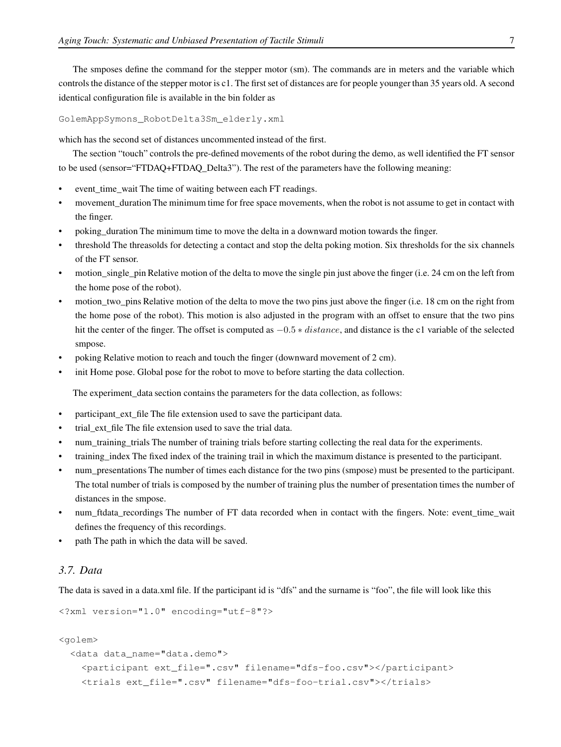The smposes define the command for the stepper motor (sm). The commands are in meters and the variable which controls the distance of the stepper motor is c1. The first set of distances are for people younger than 35 years old. A second identical configuration file is available in the bin folder as

GolemAppSymons\_RobotDelta3Sm\_elderly.xml

which has the second set of distances uncommented instead of the first.

The section "touch" controls the pre-defined movements of the robot during the demo, as well identified the FT sensor to be used (sensor="FTDAQ+FTDAQ\_Delta3"). The rest of the parameters have the following meaning:

- event time wait The time of waiting between each FT readings.
- movement\_duration The minimum time for free space movements, when the robot is not assume to get in contact with the finger.
- poking\_duration The minimum time to move the delta in a downward motion towards the finger.
- threshold The threasolds for detecting a contact and stop the delta poking motion. Six thresholds for the six channels of the FT sensor.
- motion\_single\_pin Relative motion of the delta to move the single pin just above the finger (i.e. 24 cm on the left from the home pose of the robot).
- motion\_two\_pins Relative motion of the delta to move the two pins just above the finger (i.e. 18 cm on the right from the home pose of the robot). This motion is also adjusted in the program with an offset to ensure that the two pins hit the center of the finger. The offset is computed as  $-0.5 * distance$ , and distance is the c1 variable of the selected smpose.
- poking Relative motion to reach and touch the finger (downward movement of 2 cm).
- init Home pose. Global pose for the robot to move to before starting the data collection.

The experiment\_data section contains the parameters for the data collection, as follows:

- participant\_ext\_file The file extension used to save the participant data.
- trial\_ext\_file The file extension used to save the trial data.
- num\_training\_trials The number of training trials before starting collecting the real data for the experiments.
- training\_index The fixed index of the training trail in which the maximum distance is presented to the participant.
- num\_presentations The number of times each distance for the two pins (smpose) must be presented to the participant. The total number of trials is composed by the number of training plus the number of presentation times the number of distances in the smpose.
- num\_ftdata\_recordings The number of FT data recorded when in contact with the fingers. Note: event\_time\_wait defines the frequency of this recordings.
- <span id="page-6-0"></span>path The path in which the data will be saved.

# *3.7. Data*

The data is saved in a data.xml file. If the participant id is "dfs" and the surname is "foo", the file will look like this

```
<?xml version="1.0" encoding="utf-8"?>
```

```
<golem>
  <data data_name="data.demo">
    <participant ext_file=".csv" filename="dfs-foo.csv"></participant>
    <trials ext_file=".csv" filename="dfs-foo-trial.csv"></trials>
```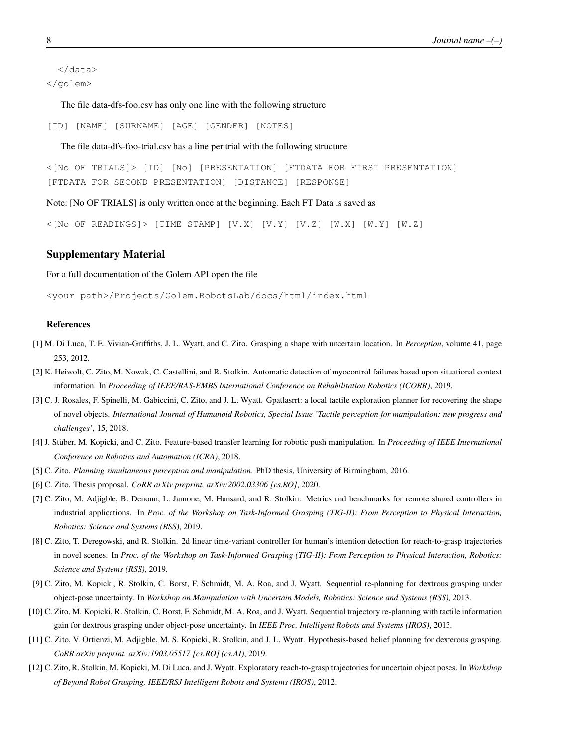</data> </golem>

The file data-dfs-foo.csv has only one line with the following structure

[ID] [NAME] [SURNAME] [AGE] [GENDER] [NOTES]

The file data-dfs-foo-trial.csv has a line per trial with the following structure

<[No OF TRIALS]> [ID] [No] [PRESENTATION] [FTDATA FOR FIRST PRESENTATION] [FTDATA FOR SECOND PRESENTATION] [DISTANCE] [RESPONSE]

Note: [No OF TRIALS] is only written once at the beginning. Each FT Data is saved as

 $\leq$ [No OF READINGS]> [TIME STAMP] [V.X] [V.Y] [V.Z] [W.X] [W.Y] [W.Z]

# Supplementary Material

For a full documentation of the Golem API open the file

<your path>/Projects/Golem.RobotsLab/docs/html/index.html

#### References

- <span id="page-7-5"></span>[1] M. Di Luca, T. E. Vivian-Griffiths, J. L. Wyatt, and C. Zito. Grasping a shape with uncertain location. In *Perception*, volume 41, page 253, 2012.
- <span id="page-7-10"></span>[2] K. Heiwolt, C. Zito, M. Nowak, C. Castellini, and R. Stolkin. Automatic detection of myocontrol failures based upon situational context information. In *Proceeding of IEEE/RAS-EMBS International Conference on Rehabilitation Robotics (ICORR)*, 2019.
- <span id="page-7-4"></span>[3] C. J. Rosales, F. Spinelli, M. Gabiccini, C. Zito, and J. L. Wyatt. Gpatlasrrt: a local tactile exploration planner for recovering the shape of novel objects. *International Journal of Humanoid Robotics, Special Issue 'Tactile perception for manipulation: new progress and challenges'*, 15, 2018.
- <span id="page-7-11"></span>[4] J. Stüber, M. Kopicki, and C. Zito. Feature-based transfer learning for robotic push manipulation. In *Proceeding of IEEE International Conference on Robotics and Automation (ICRA)*, 2018.
- <span id="page-7-0"></span>[5] C. Zito. *Planning simultaneous perception and manipulation*. PhD thesis, University of Birmingham, 2016.
- <span id="page-7-9"></span>[6] C. Zito. Thesis proposal. *CoRR arXiv preprint, arXiv:2002.03306 [cs.RO]*, 2020.
- <span id="page-7-8"></span>[7] C. Zito, M. Adjigble, B. Denoun, L. Jamone, M. Hansard, and R. Stolkin. Metrics and benchmarks for remote shared controllers in industrial applications. In *Proc. of the Workshop on Task-Informed Grasping (TIG-II): From Perception to Physical Interaction, Robotics: Science and Systems (RSS)*, 2019.
- <span id="page-7-7"></span>[8] C. Zito, T. Deregowski, and R. Stolkin. 2d linear time-variant controller for human's intention detection for reach-to-grasp trajectories in novel scenes. In *Proc. of the Workshop on Task-Informed Grasping (TIG-II): From Perception to Physical Interaction, Robotics: Science and Systems (RSS)*, 2019.
- <span id="page-7-3"></span>[9] C. Zito, M. Kopicki, R. Stolkin, C. Borst, F. Schmidt, M. A. Roa, and J. Wyatt. Sequential re-planning for dextrous grasping under object-pose uncertainty. In *Workshop on Manipulation with Uncertain Models, Robotics: Science and Systems (RSS)*, 2013.
- <span id="page-7-2"></span>[10] C. Zito, M. Kopicki, R. Stolkin, C. Borst, F. Schmidt, M. A. Roa, and J. Wyatt. Sequential trajectory re-planning with tactile information gain for dextrous grasping under object-pose uncertainty. In *IEEE Proc. Intelligent Robots and Systems (IROS)*, 2013.
- <span id="page-7-1"></span>[11] C. Zito, V. Ortienzi, M. Adjigble, M. S. Kopicki, R. Stolkin, and J. L. Wyatt. Hypothesis-based belief planning for dexterous grasping. *CoRR arXiv preprint, arXiv:1903.05517 [cs.RO] (cs.AI)*, 2019.
- <span id="page-7-6"></span>[12] C. Zito, R. Stolkin, M. Kopicki, M. Di Luca, and J. Wyatt. Exploratory reach-to-grasp trajectories for uncertain object poses. In *Workshop of Beyond Robot Grasping, IEEE/RSJ Intelligent Robots and Systems (IROS)*, 2012.